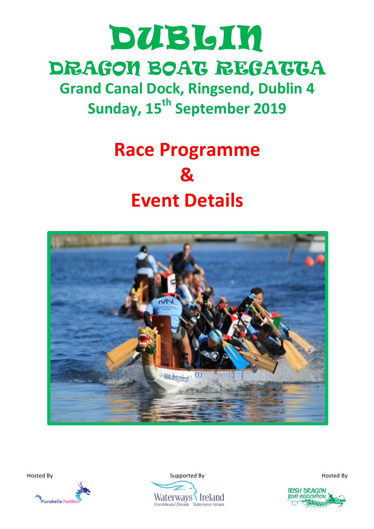# DUBLIN DRAGON BOAT REGATTA

**Grand Canal Dock, Ringsend, Dublin 4 Sunday, 15th September 2019**

# **Race Programme & Event Details**







**IRISH DRACON** BOAT ASSOCIATION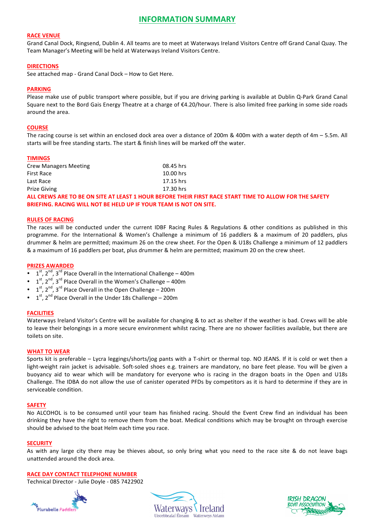# **INFORMATION SUMMARY**

#### **RACE VENUE**

Grand Canal Dock, Ringsend, Dublin 4. All teams are to meet at Waterways Ireland Visitors Centre off Grand Canal Quay. The Team Manager's Meeting will be held at Waterways Ireland Visitors Centre.

#### **DIRECTIONS**

See attached map - Grand Canal Dock - How to Get Here.

#### **PARKING**

Please make use of public transport where possible, but if you are driving parking is available at Dublin Q-Park Grand Canal Square next to the Bord Gais Energy Theatre at a charge of €4.20/hour. There is also limited free parking in some side roads around the area.

#### **COURSE**

The racing course is set within an enclosed dock area over a distance of 200m & 400m with a water depth of  $4m - 5.5m$ . All starts will be free standing starts. The start & finish lines will be marked off the water.

#### **TIMINGS**

| <b>Crew Managers Meeting</b> | 08.45 hrs   |
|------------------------------|-------------|
| <b>First Race</b>            | $10.00$ hrs |
| Last Race                    | 17.15 hrs   |
| <b>Prize Giving</b>          | 17.30 hrs   |

ALL CREWS ARE TO BE ON SITE AT LEAST 1 HOUR BEFORE THEIR FIRST RACE START TIME TO ALLOW FOR THE SAFETY **BRIEFING. RACING WILL NOT BE HELD UP IF YOUR TEAM IS NOT ON SITE.** 

#### **RULES OF RACING**

The races will be conducted under the current IDBF Racing Rules & Regulations & other conditions as published in this programme. For the International & Women's Challenge a minimum of 16 paddlers & a maximum of 20 paddlers, plus drummer & helm are permitted; maximum 26 on the crew sheet. For the Open & U18s Challenge a minimum of 12 paddlers & a maximum of 16 paddlers per boat, plus drummer & helm are permitted; maximum 20 on the crew sheet.

#### **PRIZES AWARDED**

- $1<sup>st</sup>$ ,  $2<sup>nd</sup>$ ,  $3<sup>rd</sup>$  Place Overall in the International Challenge 400m
- $1^{st}$ ,  $2^{nd}$ ,  $3^{rd}$  Place Overall in the Women's Challenge 400m
- $1<sup>st</sup>$ ,  $2<sup>nd</sup>$ ,  $3<sup>rd</sup>$  Place Overall in the Open Challenge 200m
- $1<sup>st</sup>$ ,  $2<sup>nd</sup>$  Place Overall in the Under 18s Challenge 200m

#### **FACILITIES**

Waterways Ireland Visitor's Centre will be available for changing & to act as shelter if the weather is bad. Crews will be able to leave their belongings in a more secure environment whilst racing. There are no shower facilities available, but there are toilets on site.

#### **WHAT TO WEAR**

Sports kit is preferable – Lycra leggings/shorts/jog pants with a T-shirt or thermal top. NO JEANS. If it is cold or wet then a light-weight rain jacket is advisable. Soft-soled shoes e.g. trainers are mandatory, no bare feet please. You will be given a buoyancy aid to wear which will be mandatory for everyone who is racing in the dragon boats in the Open and U18s Challenge. The IDBA do not allow the use of canister operated PFDs by competitors as it is hard to determine if they are in serviceable condition.

#### **SAFETY**

No ALCOHOL is to be consumed until your team has finished racing. Should the Event Crew find an individual has been drinking they have the right to remove them from the boat. Medical conditions which may be brought on through exercise should be advised to the boat Helm each time you race.

#### **SECURITY**

As with any large city there may be thieves about, so only bring what you need to the race site & do not leave bags unattended around the dock area.

#### **RACE DAY CONTACT TELEPHONE NUMBER**

Technical Director - Julie Doyle - 085 7422902





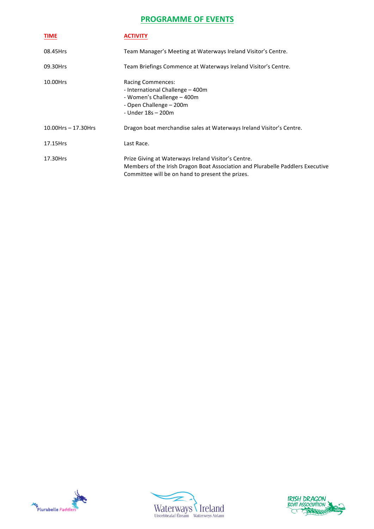# **PROGRAMME OF EVENTS**

| <b>TIME</b>               | <b>ACTIVITY</b>                                                                                                                                                                           |
|---------------------------|-------------------------------------------------------------------------------------------------------------------------------------------------------------------------------------------|
| 08.45Hrs                  | Team Manager's Meeting at Waterways Ireland Visitor's Centre.                                                                                                                             |
| 09.30Hrs                  | Team Briefings Commence at Waterways Ireland Visitor's Centre.                                                                                                                            |
| 10.00Hrs                  | <b>Racing Commences:</b><br>- International Challenge - 400m<br>- Women's Challenge – 400m<br>- Open Challenge – 200m<br>- Under 18s - 200m                                               |
| $10.00$ Hrs $- 17.30$ Hrs | Dragon boat merchandise sales at Waterways Ireland Visitor's Centre.                                                                                                                      |
| 17.15Hrs                  | Last Race.                                                                                                                                                                                |
| 17.30Hrs                  | Prize Giving at Waterways Ireland Visitor's Centre.<br>Members of the Irish Dragon Boat Association and Plurabelle Paddlers Executive<br>Committee will be on hand to present the prizes. |





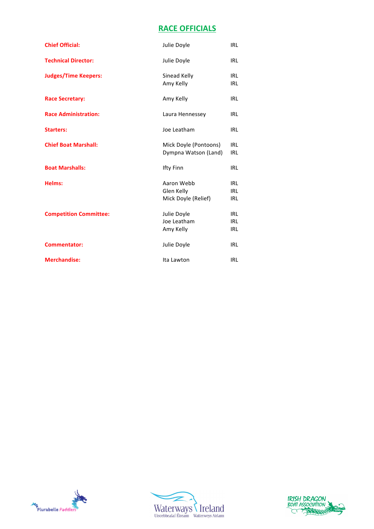# **RACE OFFICIALS**

| <b>Chief Official:</b>        | Julie Doyle                                     | <b>IRL</b>                      |
|-------------------------------|-------------------------------------------------|---------------------------------|
| <b>Technical Director:</b>    | Julie Doyle                                     | IRL                             |
| <b>Judges/Time Keepers:</b>   | Sinead Kelly<br>Amy Kelly                       | IRL<br>IRL                      |
| <b>Race Secretary:</b>        | Amy Kelly                                       | IRL                             |
| <b>Race Administration:</b>   | Laura Hennessey                                 | IRL                             |
| <b>Starters:</b>              | Joe Leatham                                     | IRL                             |
| <b>Chief Boat Marshall:</b>   | Mick Doyle (Pontoons)<br>Dympna Watson (Land)   | IRL<br><b>IRL</b>               |
| <b>Boat Marshalls:</b>        | <b>Ifty Finn</b>                                | IRL                             |
| Helms:                        | Aaron Webb<br>Glen Kelly<br>Mick Doyle (Relief) | IRL<br>IRL<br>IRL               |
| <b>Competition Committee:</b> | Julie Doyle<br>Joe Leatham<br>Amy Kelly         | IRL<br><b>IRL</b><br><b>IRL</b> |
| <b>Commentator:</b>           | Julie Doyle                                     | <b>IRL</b>                      |
| <b>Merchandise:</b>           | Ita Lawton                                      | IRL                             |





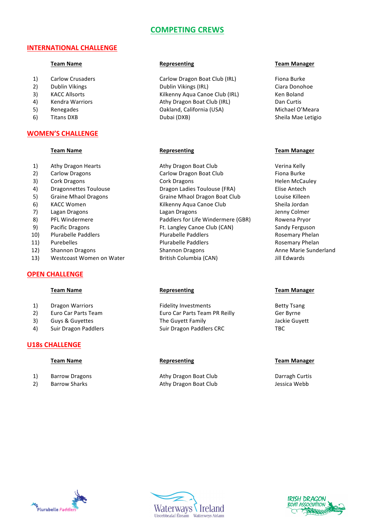# **COMPETING CREWS**

## **INTERNATIONAL CHALLENGE**

- 
- 
- 
- 
- 
- 

## **WOMEN'S CHALLENGE**

- 
- 
- 
- 
- 
- 
- 
- 
- 
- 
- 
- 
- 13) Westcoast Women on Water **British Columbia (CAN)** Jill Edwards

# **OPEN CHALLENGE**

- 
- 
- 
- 

# **U18s CHALLENGE**

- 
- 

1) Carlow Crusaders **Carlow Dragon Boat Club** (IRL) Carlow Dragon Boat Club (IRL) 2) Dublin Vikings Clublin Vikings Dublin Vikings (IRL) Ciara Donohoe 3) KACC Allsorts **Kilkenny Aqua Canoe Club** (IRL) Ken Boland 4) Kendra Warriors **Athy Dragon Boat Club** (IRL) Club Curtis 5) Renegades **California** (USA) California (USA) Michael O'Meara 6) Titans DXB **Sheila** DXB Dubai (DXB) **Sheila** Mae Letigio

1) Athy Dragon Hearts **Athy Dragon Boat Club** Verina Kelly 2) Carlow Dragons Carlow Dragon Boat Club Fiona Burke 3) Cork Dragons Cork Dragons Cork Dragons Helen McCauley 4) Dragonnettes Toulouse **Dragon Ladies Toulouse** (FRA) Elise Antech 5) Graine Mhaol Dragons Graine Mhaol Dragon Boat Club Louise Killeen 6) KACC Women **Kilkenny Aqua Canoe Club** Sheila Jordan 7) Lagan Dragons Lagan Dragons Lagan Dragons Lagan Dragons Jenny Colmer 8) PFL Windermere The Paddlers for Life Windermere (GBR) Rowena Pryor 9) Pacific Dragons The State of the Langley Canoe Club (CAN) Sandy Ferguson 10) Plurabelle Paddlers **Plurabelle** Paddlers Plurabelle Paddlers Rosemary Phelan 11) Purebelles **Plurabelle Paddlers Plurabelle** Paddlers **Rosemary Phelan** 12) Shannon Dragons Shannon Dragons Shannon Dragons Anne Marie Sunderland

1) Dragon Warriors **Example 2** Fidelity Investments and Betty Tsang 2) Euro Car Parts Team **Euro Car Parts Team PR Reilly** Ger Byrne 3) Guys & Guyettes The Guyett Family The Guyett Family State Guyett 4) Suir Dragon Paddlers Suir Dragon Paddlers CRC TBC

1) Barrow Dragons **Athy Dragon Boat Club** Darragh Curtis **Darragh Curtis** 2) Barrow Sharks **Athy Dragon Boat Club** Jessica Webb

#### **Team Name Representing Representing Representing Representing Representing**

#### **Team Name Representing Representing Representing Representing Representing**

#### **Team Name Representing** *Representing* **<b>Representing Team Manager**

#### **Team Name Representing Representing Representing Team Manager**





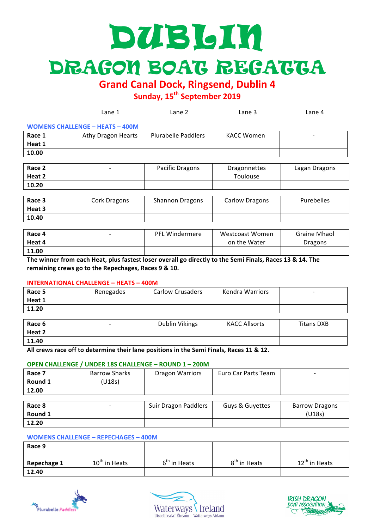# DUBLIN DRAGON BOAT REGATTA

**Grand Canal Dock, Ringsend, Dublin 4** 

**Sunday, 15th September 2019**

|        | Lane 1                                 | Lane 2                 | Lane 3                | Lane 4        |
|--------|----------------------------------------|------------------------|-----------------------|---------------|
|        | <b>WOMENS CHALLENGE - HEATS - 400M</b> |                        |                       |               |
| Race 1 | Athy Dragon Hearts                     | Plurabelle Paddlers    | <b>KACC Women</b>     | -             |
| Heat 1 |                                        |                        |                       |               |
| 10.00  |                                        |                        |                       |               |
|        |                                        |                        |                       |               |
| Race 2 |                                        | Pacific Dragons        | <b>Dragonnettes</b>   | Lagan Dragons |
| Heat 2 |                                        |                        | Toulouse              |               |
| 10.20  |                                        |                        |                       |               |
|        |                                        |                        |                       |               |
| Race 3 | Cork Dragons                           | <b>Shannon Dragons</b> | <b>Carlow Dragons</b> | Purebelles    |
| Heat 3 |                                        |                        |                       |               |
| 10.40  |                                        |                        |                       |               |

| Race 4<br>Heat 4 | <b>PFL Windermere</b> | Westcoast Women<br>on the Water | <b>Graine Mhaol</b><br>Dragons |
|------------------|-----------------------|---------------------------------|--------------------------------|
| 11.00            |                       |                                 |                                |

The winner from each Heat, plus fastest loser overall go directly to the Semi Finals, Races 13 & 14. The remaining crews go to the Repechages, Races 9 & 10.

## **INTERNATIONAL CHALLENGE – HEATS – 400M**

| Race 5 | Renegades | <b>Carlow Crusaders</b> | Kendra Warriors | $\overline{\phantom{0}}$ |
|--------|-----------|-------------------------|-----------------|--------------------------|
| Heat 1 |           |                         |                 |                          |
| 11.20  |           |                         |                 |                          |

| Race 6<br>Heat 2 | $\overline{\phantom{0}}$ | Dublin Vikings | <b>KACC Allsorts</b> | Titans DXB |
|------------------|--------------------------|----------------|----------------------|------------|
| 11.40            |                          |                |                      |            |

All crews race off to determine their lane positions in the Semi Finals, Races 11 & 12.

### **OPEN CHALLENGE / UNDER 18S CHALLENGE – ROUND 1 – 200M**

| Race 7<br>Round 1 | <b>Barrow Sharks</b><br>(U18s) | <b>Dragon Warriors</b> | Euro Car Parts Team | - |
|-------------------|--------------------------------|------------------------|---------------------|---|
| 12.00             |                                |                        |                     |   |

| Race 8  | Suir Dragon Paddlers | Guys & Guyettes | <b>Barrow Dragons</b> |
|---------|----------------------|-----------------|-----------------------|
| Round 1 |                      |                 | (U18s)                |
| 12.20   |                      |                 |                       |

#### **WOMENS CHALLENGE – REPECHAGES – 400M**

| Race 9      |                 |                          |                          |                 |
|-------------|-----------------|--------------------------|--------------------------|-----------------|
| Repechage 1 | $10th$ in Heats | 6 <sup>th</sup> in Heats | 8 <sup>th</sup> in Heats | $12th$ in Heats |
| 12.40       |                 |                          |                          |                 |





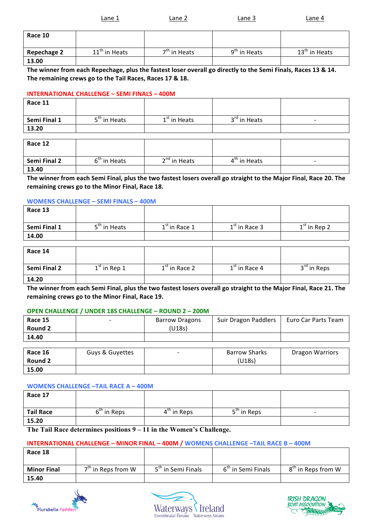| Lane 1 | Lane 2 | Lane 3 | Lane 4 |
|--------|--------|--------|--------|
|        |        |        |        |

**Repechage 2** 11<sup>th</sup> in Heats  $7<sup>th</sup>$  in Heats 9<sup>th</sup> in Heats 13<sup>th</sup> in Heats **13.00**

The winner from each Repechage, plus the fastest loser overall go directly to the Semi Finals, Races 13 & 14. The remaining crews go to the Tail Races, Races 17 & 18.

## **INTERNATIONAL CHALLENGE – SEMI FINALS – 400M**

**Race 10**

| Race 11      |                          |                |                          |   |
|--------------|--------------------------|----------------|--------------------------|---|
| Semi Final 1 | 5 <sup>th</sup> in Heats | $1st$ in Heats | 3 <sup>rd</sup> in Heats | - |
| 13.20        |                          |                |                          |   |
|              |                          |                |                          |   |

| Race 12      |                |                          |                |  |
|--------------|----------------|--------------------------|----------------|--|
| Semi Final 2 | $6th$ in Heats | 2 <sup>nd</sup> in Heats | $4th$ in Heats |  |
| 13.40        |                |                          |                |  |

The winner from each Semi Final, plus the two fastest losers overall go straight to the Major Final, Race 20. The remaining crews go to the Minor Final, Race 18.

## **WOMENS CHALLENGE – SEMI FINALS – 400M**

| Race 13      |                          |                 |                 |                |
|--------------|--------------------------|-----------------|-----------------|----------------|
| Semi Final 1 | 5 <sup>th</sup> in Heats | $1st$ in Race 1 | $1st$ in Race 3 | $1st$ in Rep 2 |
| 14.00        |                          |                 |                 |                |

| Race 14      |                |                 |                 |                         |
|--------------|----------------|-----------------|-----------------|-------------------------|
| Semi Final 2 | $1st$ in Rep 1 | $1st$ in Race 2 | $1st$ in Race 4 | 3 <sup>rd</sup> in Reps |
| 14.20        |                |                 |                 |                         |

The winner from each Semi Final, plus the two fastest losers overall go straight to the Major Final, Race 21. The remaining crews go to the Minor Final, Race 19.

# **OPEN CHALLENGE / UNDER 18S CHALLENGE – ROUND 2 – 200M**

| Race 15<br>Round 2 |                 | <b>Barrow Dragons</b><br>(U18s) | Suir Dragon Paddlers | Euro Car Parts Team    |
|--------------------|-----------------|---------------------------------|----------------------|------------------------|
| 14.40              |                 |                                 |                      |                        |
|                    |                 |                                 |                      |                        |
| Race 16            | Guys & Guyettes | $\overline{\phantom{0}}$        | <b>Barrow Sharks</b> | <b>Dragon Warriors</b> |
| Round 2            |                 |                                 | (U18s)               |                        |
| 15.00              |                 |                                 |                      |                        |

## **WOMENS CHALLENGE -TAIL RACE A - 400M**

| Race 17          |               |               |                         |   |
|------------------|---------------|---------------|-------------------------|---|
| <b>Tail Race</b> | $6th$ in Reps | $4th$ in Reps | 5 <sup>th</sup> in Reps | - |
| 15.20            |               |               |                         |   |

**The Tail Race determines positions 9 – 11 in the Women's Challenge.**

## **INTERNATIONAL CHALLENGE – MINOR FINAL – 400M / WOMENS CHALLENGE –TAIL RACE B – 400M**

| Race 18            |                      |                                |                                |                                |
|--------------------|----------------------|--------------------------------|--------------------------------|--------------------------------|
| <b>Minor Final</b> | $7th$ in Reps from W | 5 <sup>th</sup> in Semi Finals | 6 <sup>th</sup> in Semi Finals | 8 <sup>th</sup> in Reps from W |
| 15.40              |                      |                                |                                |                                |





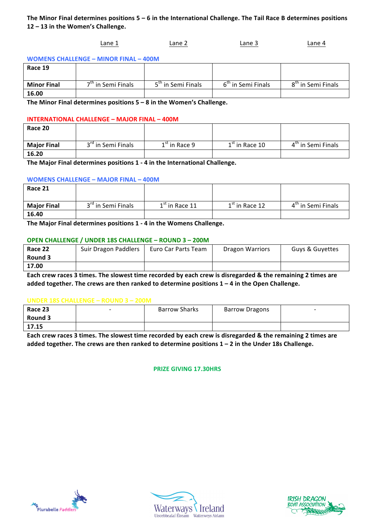# The Minor Final determines positions  $5 - 6$  in the International Challenge. The Tail Race B determines positions 12 - 13 in the Women's Challenge.

## Lane 1 Lane 2 Lane 2 Lane 3 Lane 4

**WOMENS CHALLENGE – MINOR FINAL – 400M**

| Race 19            |                                |                                |                                |                                |
|--------------------|--------------------------------|--------------------------------|--------------------------------|--------------------------------|
| <b>Minor Final</b> | 7 <sup>th</sup> in Semi Finals | 5 <sup>th</sup> in Semi Finals | 6 <sup>th</sup> in Semi Finals | 8 <sup>th</sup> in Semi Finals |
| 16.00              |                                |                                |                                |                                |

The Minor Final determines positions  $5 - 8$  in the Women's Challenge.

### **INTERNATIONAL CHALLENGE - MAJOR FINAL - 400M**

| Race 20            |                                |                 |                  |                                |
|--------------------|--------------------------------|-----------------|------------------|--------------------------------|
| <b>Major Final</b> | 3 <sup>rd</sup> in Semi Finals | $1st$ in Race 9 | $1st$ in Race 10 | 4 <sup>th</sup> in Semi Finals |
| 16.20              |                                |                 |                  |                                |

The Major Final determines positions 1 - 4 in the International Challenge.

### **WOMENS CHALLENGE – MAJOR FINAL – 400M**

| Race 21            |                                |                  |                  |                                |
|--------------------|--------------------------------|------------------|------------------|--------------------------------|
| <b>Major Final</b> | 3 <sup>rd</sup> in Semi Finals | $1st$ in Race 11 | $1st$ in Race 12 | 4 <sup>th</sup> in Semi Finals |
| 16.40              |                                |                  |                  |                                |
|                    |                                |                  |                  |                                |

The Major Final determines positions 1 - 4 in the Womens Challenge.

### **OPEN CHALLENGE / UNDER 18S CHALLENGE – ROUND 3 – 200M**

| Race 22 | Suir Dragon Paddlers | Euro Car Parts Team | Dragon Warriors | Guys & Guyettes |
|---------|----------------------|---------------------|-----------------|-----------------|
| Round 3 |                      |                     |                 |                 |
| 17.00   |                      |                     |                 |                 |

Each crew races 3 times. The slowest time recorded by each crew is disregarded & the remaining 2 times are added together. The crews are then ranked to determine positions 1 – 4 in the Open Challenge.

#### **UNDER 18S CHALLENGE – ROUND 3 – 200M**

| Race 23<br>Round 3 | Barrow Sharks | <b>Barrow Dragons</b> | $\overline{\phantom{0}}$ |
|--------------------|---------------|-----------------------|--------------------------|
| 17.15              |               |                       |                          |

Each crew races 3 times. The slowest time recorded by each crew is disregarded & the remaining 2 times are added together. The crews are then ranked to determine positions 1 - 2 in the Under 18s Challenge.

## **PRIZE GIVING 17.30HRS**